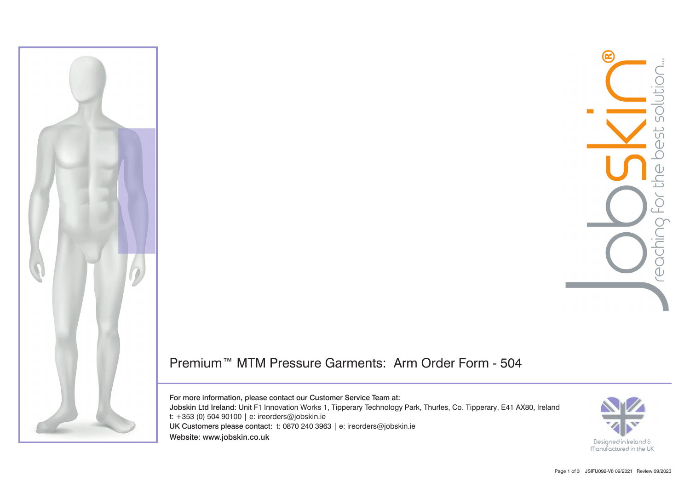

## Premium™ MTM Pressure Garments: Arm Order Form - 504

For more information, please contact our Customer Service Team at: Jobskin Ltd Ireland: Unit F1 Innovation Works 1, Tipperary Technology Park, Thurles, Co. Tipperary, E41 AX80, Ireland t: +353 (0) 504 90100 | e: ireorders@jobskin.ie UK Customers please contact: t: 0870 240 3963 | e: ireorders@jobskin.ie Website: www.jobskin.co.uk

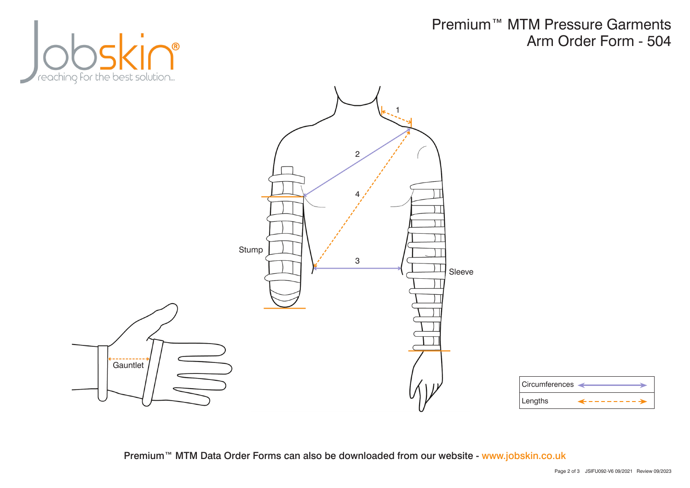

Premium™ MTM Pressure Garments Arm Order Form - 504



| ∣ Circumferences  ⊲ |  |
|---------------------|--|
| Lengths             |  |

Premium™ MTM Data Order Forms can also be downloaded from our website - www.jobskin.co.uk